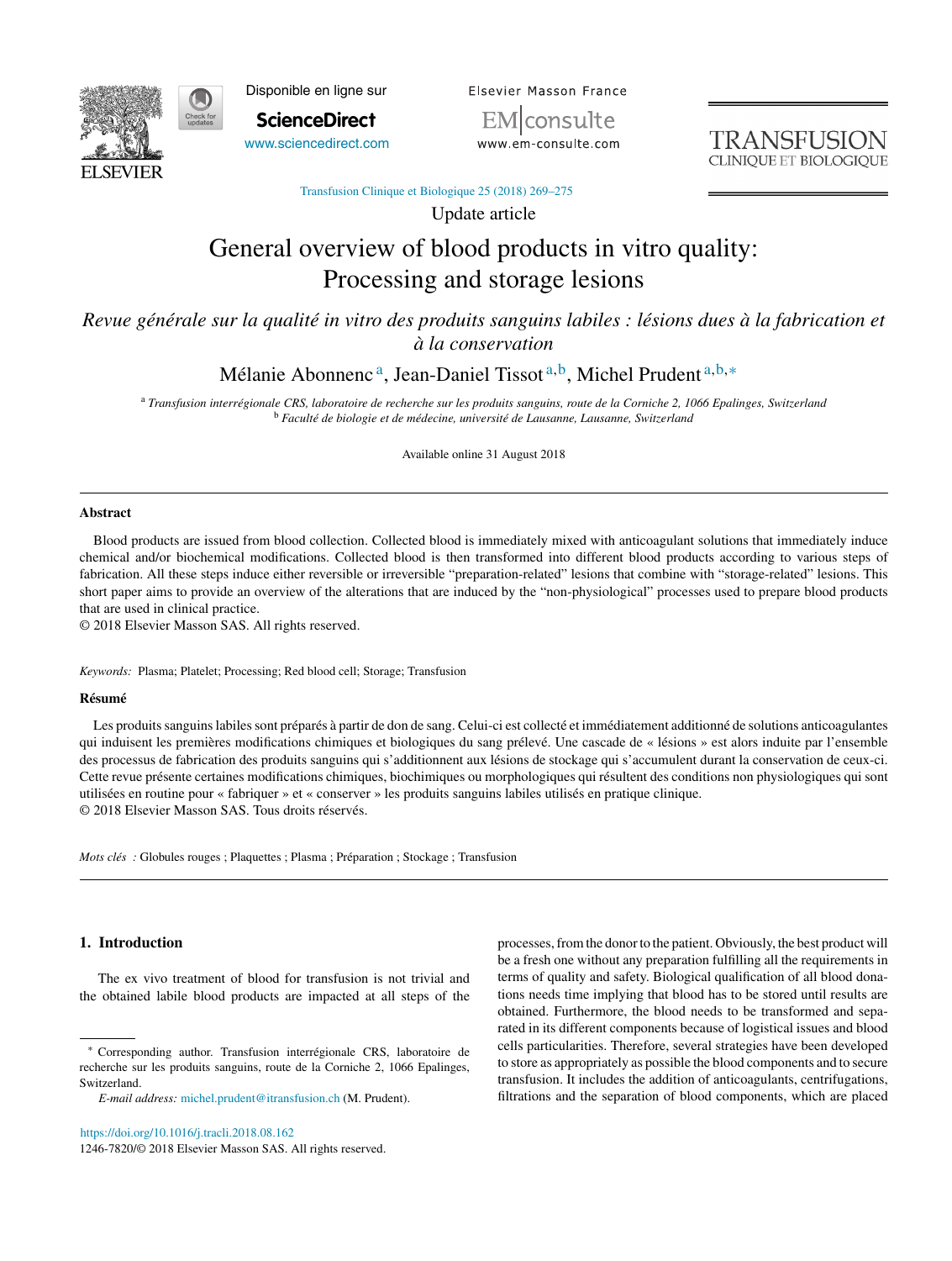

Disponible en ligne sur

**ScienceDirect** [www.sciencedirect.com](http://www.sciencedirect.com/science/journal/12467820) Elsevier Masson France EM|consulte

www.em-consulte.com

**TRANSFUSION CLINIOUE ET BIOLOGIO** 

[Transfusion Clinique et Biologique 25 \(2018\) 269–275](https://doi.org/10.1016/j.tracli.2018.08.162)

Update article

# General overview of blood products in vitro quality: Processing and storage lesions

*Revue générale sur la qualité in vitro des produits sanguins labiles : lésions dues à la fabrication et à la conservation*

Mélanie Abonnenc<sup>a</sup>, Jean-Daniel Tissot<sup>a,b</sup>, Michel Prudent<sup>a,b,∗</sup>

<sup>a</sup> *Transfusion interrégionale CRS, laboratoire de recherche sur les produits sanguins, route de la Corniche 2, 1066 Epalinges, Switzerland* <sup>b</sup> *Faculté de biologie et de médecine, université de Lausanne, Lausanne, Switzerland*

Available online 31 August 2018

## **Abstract**

Blood products are issued from blood collection. Collected blood is immediately mixed with anticoagulant solutions that immediately induce chemical and/or biochemical modifications. Collected blood is then transformed into different blood products according to various steps of fabrication. All these steps induce either reversible or irreversible "preparation-related" lesions that combine with "storage-related" lesions. This short paper aims to provide an overview of the alterations that are induced by the "non-physiological" processes used to prepare blood products that are used in clinical practice.

© 2018 Elsevier Masson SAS. All rights reserved.

*Keywords:* Plasma; Platelet; Processing; Red blood cell; Storage; Transfusion

#### **Résumé**

Les produits sanguins labiles sont préparés à partir de don de sang. Celui-ci est collecté et immédiatement additionné de solutions anticoagulantes qui induisent les premières modifications chimiques et biologiques du sang prélevé. Une cascade de « lésions » est alors induite par l'ensemble des processus de fabrication des produits sanguins qui s'additionnent aux lésions de stockage qui s'accumulent durant la conservation de ceux-ci. Cette revue présente certaines modifications chimiques, biochimiques ou morphologiques qui résultent des conditions non physiologiques qui sont utilisées en routine pour « fabriquer » et « conserver » les produits sanguins labiles utilisés en pratique clinique. © 2018 Elsevier Masson SAS. Tous droits réservés.

*Mots clés*: Globules rouges ; Plaquettes ; Plasma ; Préparation ; Stockage ; Transfusion

## **1. Introduction**

The ex vivo treatment of blood for transfusion is not trivial and the obtained labile blood products are impacted at all steps of the

<https://doi.org/10.1016/j.tracli.2018.08.162> 1246-7820/© 2018 Elsevier Masson SAS. All rights reserved. processes, from the donor to the patient. Obviously, the best product will be a fresh one without any preparation fulfilling all the requirements in terms of quality and safety. Biological qualification of all blood donations needs time implying that blood has to be stored until results are obtained. Furthermore, the blood needs to be transformed and separated in its different components because of logistical issues and blood cells particularities. Therefore, several strategies have been developed to store as appropriately as possible the blood components and to secure transfusion. It includes the addition of anticoagulants, centrifugations, filtrations and the separation of blood components, which are placed

<sup>∗</sup> Corresponding author. Transfusion interrégionale CRS, laboratoire de recherche sur les produits sanguins, route de la Corniche 2, 1066 Epalinges, Switzerland.

*E-mail address:* [michel.prudent@itransfusion.ch](mailto:michel.prudent@itransfusion.ch) (M. Prudent).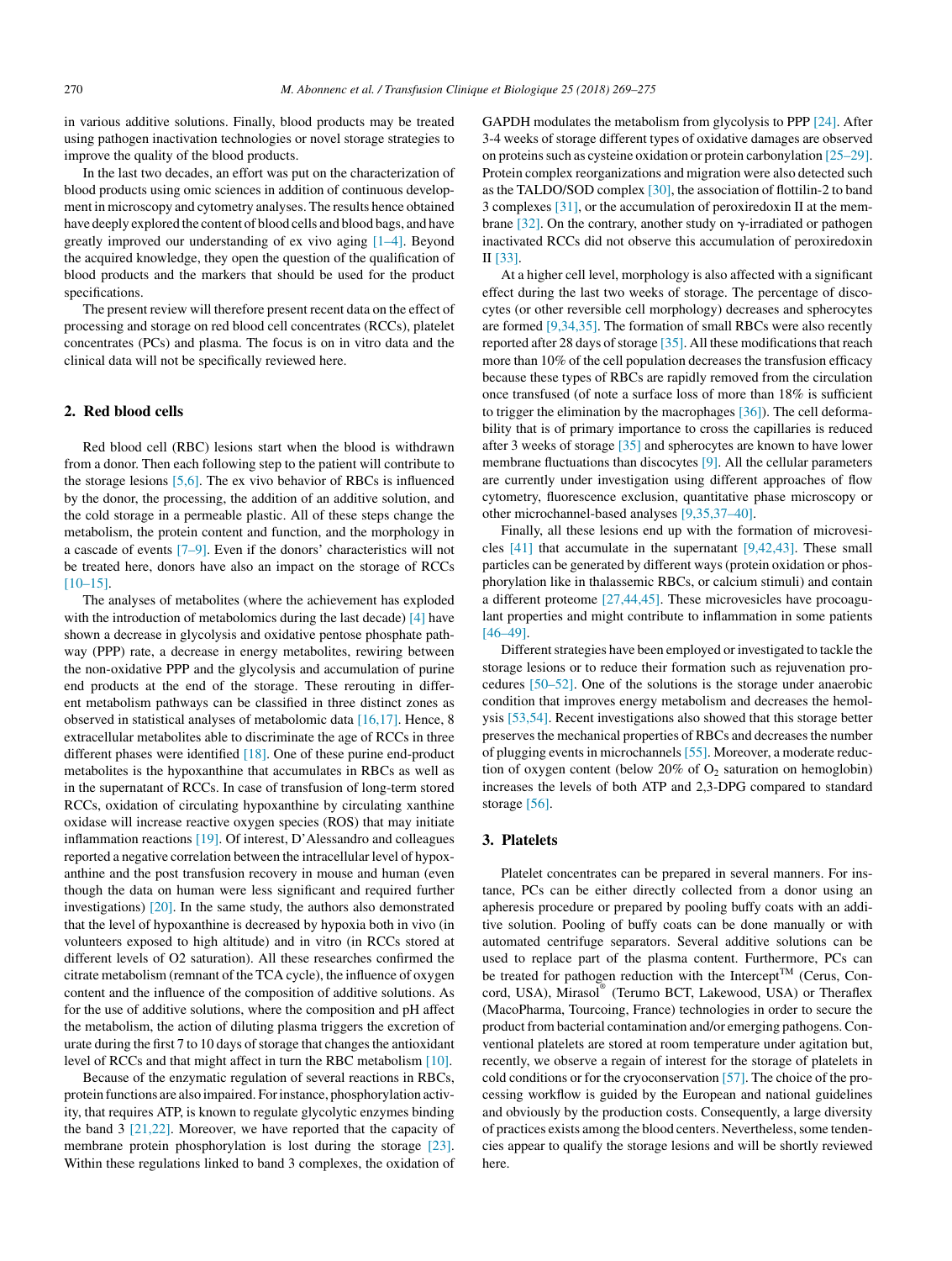in various additive solutions. Finally, blood products may be treated using pathogen inactivation technologies or novel storage strategies to improve the quality of the blood products.

In the last two decades, an effort was put on the characterization of blood products using omic sciences in addition of continuous development in microscopy and cytometry analyses. The results hence obtained have deeply explored the content of blood cells and blood bags, and have greatly improved our understanding of ex vivo aging [\[1–4\].](#page-3-0) Beyond the acquired knowledge, they open the question of the qualification of blood products and the markers that should be used for the product specifications.

The present review will therefore present recent data on the effect of processing and storage on red blood cell concentrates (RCCs), platelet concentrates (PCs) and plasma. The focus is on in vitro data and the clinical data will not be specifically reviewed here.

#### **2. Red blood cells**

Red blood cell (RBC) lesions start when the blood is withdrawn from a donor. Then each following step to the patient will contribute to the storage lesions [\[5,6\]. T](#page-3-0)he ex vivo behavior of RBCs is influenced by the donor, the processing, the addition of an additive solution, and the cold storage in a permeable plastic. All of these steps change the metabolism, the protein content and function, and the morphology in a cascade of events [\[7–9\]. E](#page-3-0)ven if the donors' characteristics will not be treated here, donors have also an impact on the storage of RCCs [\[10–15\].](#page-4-0)

The analyses of metabolites (where the achievement has exploded with the introduction of metabolomics during the last decade) [\[4\]](#page-3-0) have shown a decrease in glycolysis and oxidative pentose phosphate pathway (PPP) rate, a decrease in energy metabolites, rewiring between the non-oxidative PPP and the glycolysis and accumulation of purine end products at the end of the storage. These rerouting in different metabolism pathways can be classified in three distinct zones as observed in statistical analyses of metabolomic data [\[16,17\]. H](#page-4-0)ence, 8 extracellular metabolites able to discriminate the age of RCCs in three different phases were identified [\[18\]. O](#page-4-0)ne of these purine end-product metabolites is the hypoxanthine that accumulates in RBCs as well as in the supernatant of RCCs. In case of transfusion of long-term stored RCCs, oxidation of circulating hypoxanthine by circulating xanthine oxidase will increase reactive oxygen species (ROS) that may initiate inflammation reactions [\[19\]. O](#page-4-0)f interest, D'Alessandro and colleagues reported a negative correlation between the intracellular level of hypoxanthine and the post transfusion recovery in mouse and human (even though the data on human were less significant and required further investigations) [\[20\]. I](#page-4-0)n the same study, the authors also demonstrated that the level of hypoxanthine is decreased by hypoxia both in vivo (in volunteers exposed to high altitude) and in vitro (in RCCs stored at different levels of O2 saturation). All these researches confirmed the citrate metabolism (remnant of the TCA cycle), the influence of oxygen content and the influence of the composition of additive solutions. As for the use of additive solutions, where the composition and pH affect the metabolism, the action of diluting plasma triggers the excretion of urate during the first 7 to 10 days of storage that changes the antioxidant level of RCCs and that might affect in turn the RBC metabolism [\[10\].](#page-4-0)

Because of the enzymatic regulation of several reactions in RBCs, protein functions are also impaired. For instance, phosphorylation activity, that requires ATP, is known to regulate glycolytic enzymes binding the band 3 [\[21,22\].](#page-4-0) Moreover, we have reported that the capacity of membrane protein phosphorylation is lost during the storage [\[23\].](#page-4-0) Within these regulations linked to band 3 complexes, the oxidation of GAPDH modulates the metabolism from glycolysis to PPP [\[24\]. A](#page-4-0)fter 3-4 weeks of storage different types of oxidative damages are observed on proteins such as cysteine oxidation or protein carbonylation [\[25–29\].](#page-4-0) Protein complex reorganizations and migration were also detected such as the TALDO/SOD complex [\[30\], t](#page-4-0)he association of flottilin-2 to band 3 complexes [\[31\], o](#page-4-0)r the accumulation of peroxiredoxin II at the mem-brane [\[32\]. O](#page-4-0)n the contrary, another study on  $\gamma$ -irradiated or pathogen inactivated RCCs did not observe this accumulation of peroxiredoxin II [\[33\].](#page-4-0)

At a higher cell level, morphology is also affected with a significant effect during the last two weeks of storage. The percentage of discocytes (or other reversible cell morphology) decreases and spherocytes are formed [\[9,34,35\]. T](#page-4-0)he formation of small RBCs were also recently reported after 28 days of storage [\[35\]. A](#page-4-0)ll these modifications that reach more than 10% of the cell population decreases the transfusion efficacy because these types of RBCs are rapidly removed from the circulation once transfused (of note a surface loss of more than 18% is sufficient to trigger the elimination by the macrophages [\[36\]\).](#page-4-0) The cell deformability that is of primary importance to cross the capillaries is reduced after 3 weeks of storage [\[35\]](#page-4-0) and spherocytes are known to have lower membrane fluctuations than discocytes [\[9\]. A](#page-4-0)ll the cellular parameters are currently under investigation using different approaches of flow cytometry, fluorescence exclusion, quantitative phase microscopy or other microchannel-based analyses [\[9,35,37–40\].](#page-4-0)

Finally, all these lesions end up with the formation of microvesicles [\[41\]](#page-4-0) that accumulate in the supernatant [\[9,42,43\].](#page-4-0) These small particles can be generated by different ways (protein oxidation or phosphorylation like in thalassemic RBCs, or calcium stimuli) and contain a different proteome [\[27,44,45\].](#page-4-0) These microvesicles have procoagulant properties and might contribute to inflammation in some patients [\[46–49\].](#page-4-0)

Different strategies have been employed or investigated to tackle the storage lesions or to reduce their formation such as rejuvenation procedures [\[50–52\].](#page-4-0) One of the solutions is the storage under anaerobic condition that improves energy metabolism and decreases the hemolysis [\[53,54\]. R](#page-5-0)ecent investigations also showed that this storage better preserves the mechanical properties of RBCs and decreases the number of plugging events in microchannels[\[55\]. M](#page-5-0)oreover, a moderate reduction of oxygen content (below 20% of  $O_2$  saturation on hemoglobin) increases the levels of both ATP and 2,3-DPG compared to standard storage [\[56\].](#page-5-0)

#### **3. Platelets**

Platelet concentrates can be prepared in several manners. For instance, PCs can be either directly collected from a donor using an apheresis procedure or prepared by pooling buffy coats with an additive solution. Pooling of buffy coats can be done manually or with automated centrifuge separators. Several additive solutions can be used to replace part of the plasma content. Furthermore, PCs can be treated for pathogen reduction with the Intercept<sup>TM</sup> (Cerus, Concord, USA), Mirasol® (Terumo BCT, Lakewood, USA) or Theraflex (MacoPharma, Tourcoing, France) technologies in order to secure the product from bacterial contamination and/or emerging pathogens. Conventional platelets are stored at room temperature under agitation but, recently, we observe a regain of interest for the storage of platelets in cold conditions or for the cryoconservation [\[57\]. T](#page-5-0)he choice of the processing workflow is guided by the European and national guidelines and obviously by the production costs. Consequently, a large diversity of practices exists among the blood centers. Nevertheless, some tendencies appear to qualify the storage lesions and will be shortly reviewed here.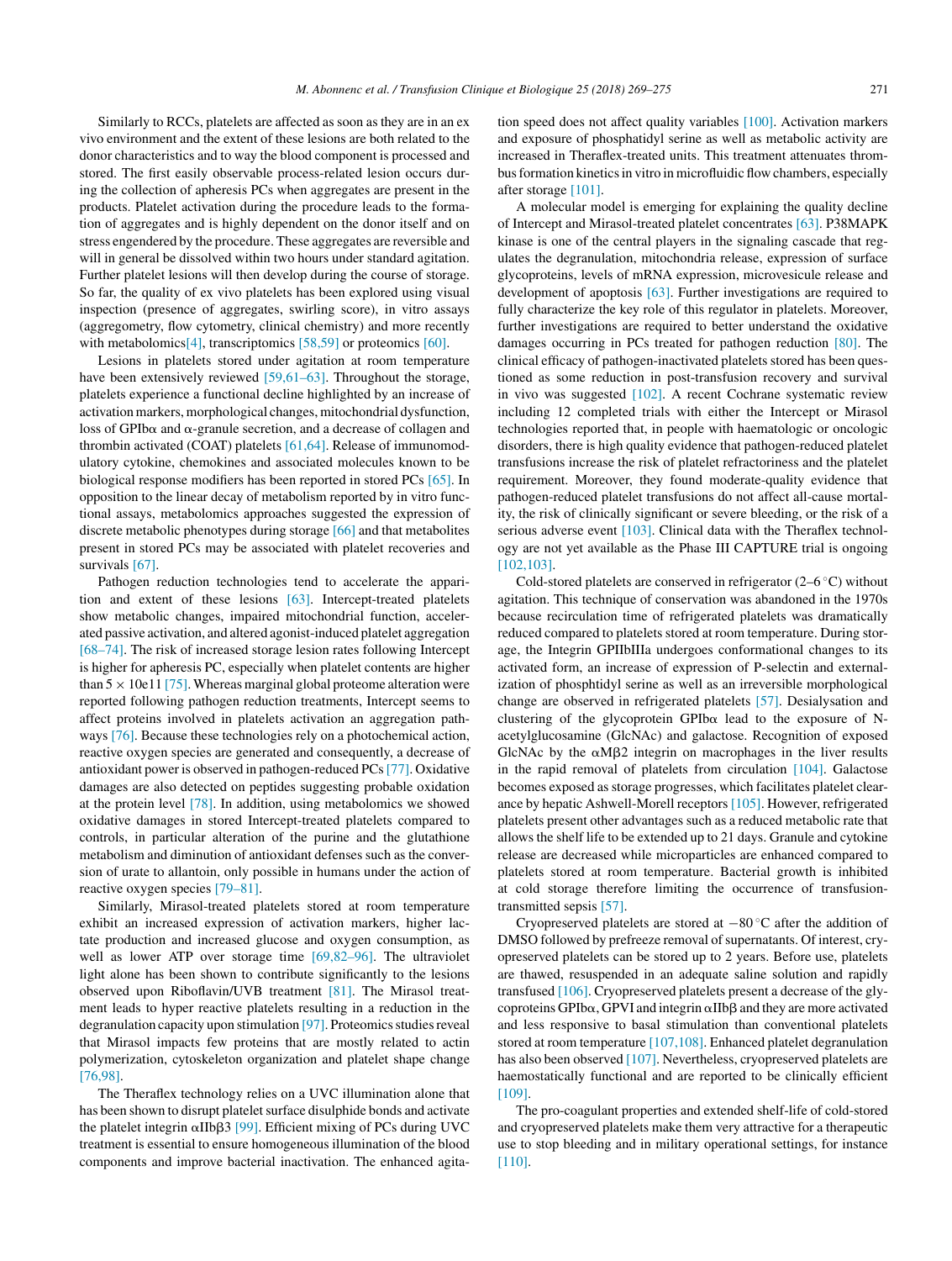Similarly to RCCs, platelets are affected as soon as they are in an ex vivo environment and the extent of these lesions are both related to the donor characteristics and to way the blood component is processed and stored. The first easily observable process-related lesion occurs during the collection of apheresis PCs when aggregates are present in the products. Platelet activation during the procedure leads to the formation of aggregates and is highly dependent on the donor itself and on stress engendered by the procedure. These aggregates are reversible and will in general be dissolved within two hours under standard agitation. Further platelet lesions will then develop during the course of storage. So far, the quality of ex vivo platelets has been explored using visual inspection (presence of aggregates, swirling score), in vitro assays (aggregometry, flow cytometry, clinical chemistry) and more recently with metabolomics<sup>[4]</sup>, transcriptomics [\[58,59\]](#page-5-0) or proteomics [\[60\].](#page-5-0)

Lesions in platelets stored under agitation at room temperature have been extensively reviewed [\[59,61–63\].](#page-5-0) Throughout the storage, platelets experience a functional decline highlighted by an increase of activation markers, morphological changes, mitochondrial dysfunction, loss of GPIb $\alpha$  and  $\alpha$ -granule secretion, and a decrease of collagen and thrombin activated (COAT) platelets [\[61,64\]. R](#page-5-0)elease of immunomodulatory cytokine, chemokines and associated molecules known to be biological response modifiers has been reported in stored PCs [\[65\]. I](#page-5-0)n opposition to the linear decay of metabolism reported by in vitro functional assays, metabolomics approaches suggested the expression of discrete metabolic phenotypes during storage [\[66\]](#page-5-0) and that metabolites present in stored PCs may be associated with platelet recoveries and survivals [\[67\].](#page-5-0)

Pathogen reduction technologies tend to accelerate the apparition and extent of these lesions [\[63\].](#page-5-0) Intercept-treated platelets show metabolic changes, impaired mitochondrial function, accelerated passive activation, and altered agonist-induced platelet aggregation [\[68–74\]. T](#page-5-0)he risk of increased storage lesion rates following Intercept is higher for apheresis PC, especially when platelet contents are higher than  $5 \times 10e11$  [\[75\]. W](#page-5-0)hereas marginal global proteome alteration were reported following pathogen reduction treatments, Intercept seems to affect proteins involved in platelets activation an aggregation pathways [\[76\]. B](#page-5-0)ecause these technologies rely on a photochemical action, reactive oxygen species are generated and consequently, a decrease of antioxidant power is observed in pathogen-reduced PCs[\[77\]. O](#page-5-0)xidative damages are also detected on peptides suggesting probable oxidation at the protein level [\[78\].](#page-5-0) In addition, using metabolomics we showed oxidative damages in stored Intercept-treated platelets compared to controls, in particular alteration of the purine and the glutathione metabolism and diminution of antioxidant defenses such as the conversion of urate to allantoin, only possible in humans under the action of reactive oxygen species [\[79–81\].](#page-5-0)

Similarly, Mirasol-treated platelets stored at room temperature exhibit an increased expression of activation markers, higher lactate production and increased glucose and oxygen consumption, as well as lower ATP over storage time [\[69,82–96\].](#page-5-0) The ultraviolet light alone has been shown to contribute significantly to the lesions observed upon Riboflavin/UVB treatment [\[81\].](#page-5-0) The Mirasol treatment leads to hyper reactive platelets resulting in a reduction in the degranulation capacity upon stimulation [\[97\]. P](#page-6-0)roteomics studies reveal that Mirasol impacts few proteins that are mostly related to actin polymerization, cytoskeleton organization and platelet shape change [\[76,98\].](#page-5-0)

The Theraflex technology relies on a UVC illumination alone that has been shown to disrupt platelet surface disulphide bonds and activate the platelet integrin  $\alpha$ IIb $\beta$ 3 [\[99\]. E](#page-6-0)fficient mixing of PCs during UVC treatment is essential to ensure homogeneous illumination of the blood components and improve bacterial inactivation. The enhanced agitation speed does not affect quality variables [\[100\]. A](#page-6-0)ctivation markers and exposure of phosphatidyl serine as well as metabolic activity are increased in Theraflex-treated units. This treatment attenuates thrombus formation kinetics in vitro in microfluidic flow chambers, especially after storage [\[101\].](#page-6-0)

A molecular model is emerging for explaining the quality decline of Intercept and Mirasol-treated platelet concentrates [\[63\]. P](#page-5-0)38MAPK kinase is one of the central players in the signaling cascade that regulates the degranulation, mitochondria release, expression of surface glycoproteins, levels of mRNA expression, microvesicule release and development of apoptosis [\[63\]. F](#page-5-0)urther investigations are required to fully characterize the key role of this regulator in platelets. Moreover, further investigations are required to better understand the oxidative damages occurring in PCs treated for pathogen reduction [\[80\].](#page-5-0) The clinical efficacy of pathogen-inactivated platelets stored has been questioned as some reduction in post-transfusion recovery and survival in vivo was suggested [\[102\].](#page-6-0) A recent Cochrane systematic review including 12 completed trials with either the Intercept or Mirasol technologies reported that, in people with haematologic or oncologic disorders, there is high quality evidence that pathogen-reduced platelet transfusions increase the risk of platelet refractoriness and the platelet requirement. Moreover, they found moderate-quality evidence that pathogen-reduced platelet transfusions do not affect all-cause mortality, the risk of clinically significant or severe bleeding, or the risk of a serious adverse event [\[103\]. C](#page-6-0)linical data with the Theraflex technology are not yet available as the Phase III CAPTURE trial is ongoing [\[102,103\].](#page-6-0)

Cold-stored platelets are conserved in refrigerator  $(2-6 °C)$  without agitation. This technique of conservation was abandoned in the 1970s because recirculation time of refrigerated platelets was dramatically reduced compared to platelets stored at room temperature. During storage, the Integrin GPIIbIIIa undergoes conformational changes to its activated form, an increase of expression of P-selectin and externalization of phosphtidyl serine as well as an irreversible morphological change are observed in refrigerated platelets [\[57\].](#page-5-0) Desialysation and clustering of the glycoprotein GPIb $\alpha$  lead to the exposure of Nacetylglucosamine (GlcNAc) and galactose. Recognition of exposed GlcNAc by the  $\alpha$ M $\beta$ 2 integrin on macrophages in the liver results in the rapid removal of platelets from circulation [\[104\].](#page-6-0) Galactose becomes exposed as storage progresses, which facilitates platelet clearance by hepatic Ashwell-Morell receptors[\[105\]. H](#page-6-0)owever, refrigerated platelets present other advantages such as a reduced metabolic rate that allows the shelf life to be extended up to 21 days. Granule and cytokine release are decreased while microparticles are enhanced compared to platelets stored at room temperature. Bacterial growth is inhibited at cold storage therefore limiting the occurrence of transfusiontransmitted sepsis [\[57\].](#page-5-0)

Cryopreserved platelets are stored at −80 ◦C after the addition of DMSO followed by prefreeze removal of supernatants. Of interest, cryopreserved platelets can be stored up to 2 years. Before use, platelets are thawed, resuspended in an adequate saline solution and rapidly transfused [\[106\]. C](#page-6-0)ryopreserved platelets present a decrease of the glycoproteins GPIb $\alpha$ , GPVI and integrin  $\alpha$ IIb $\beta$  and they are more activated and less responsive to basal stimulation than conventional platelets stored at room temperature [\[107,108\]. E](#page-6-0)nhanced platelet degranulation has also been observed [\[107\]. N](#page-6-0)evertheless, cryopreserved platelets are haemostatically functional and are reported to be clinically efficient [\[109\].](#page-6-0)

The pro-coagulant properties and extended shelf-life of cold-stored and cryopreserved platelets make them very attractive for a therapeutic use to stop bleeding and in military operational settings, for instance [\[110\].](#page-6-0)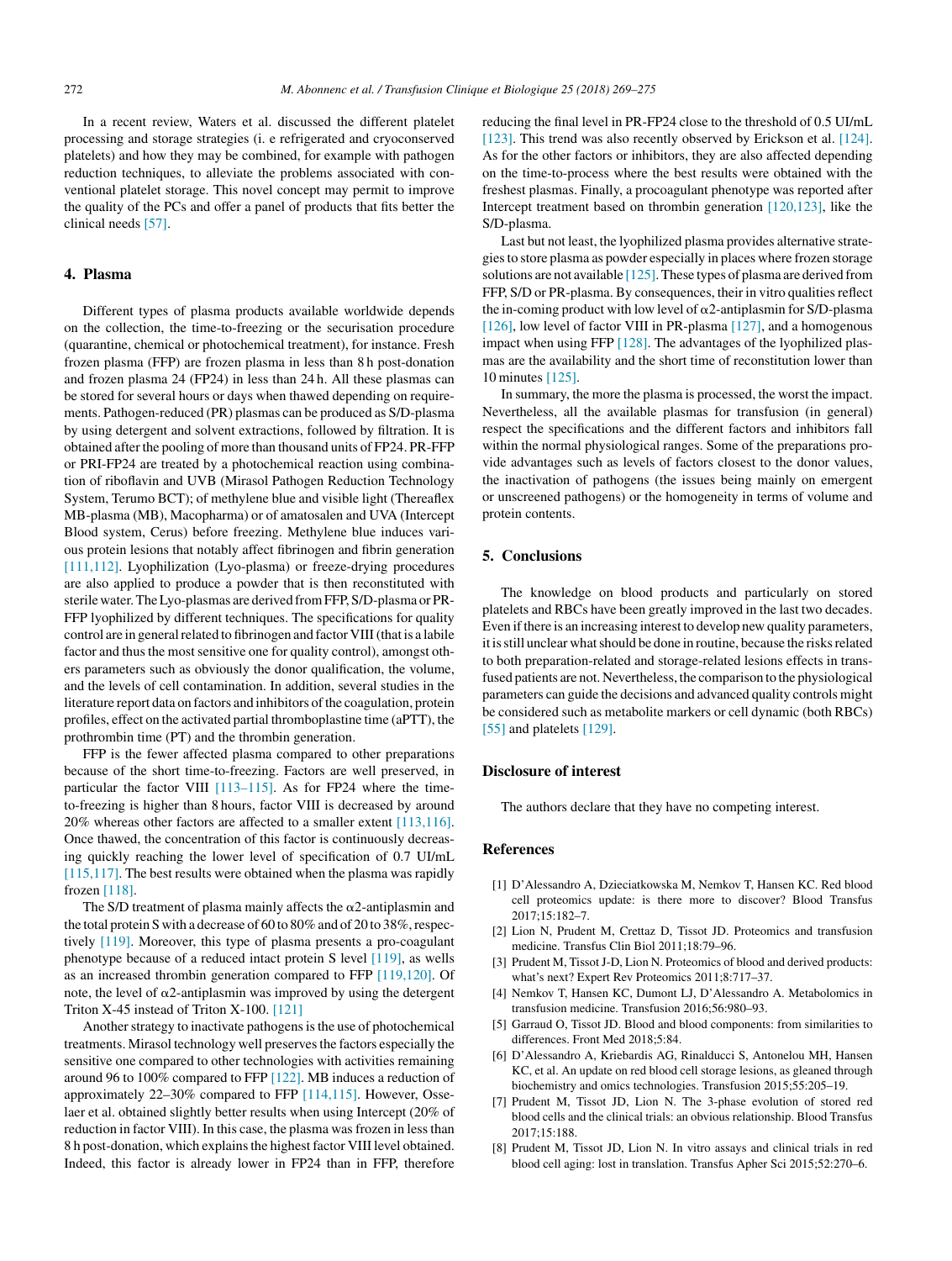<span id="page-3-0"></span>In a recent review, Waters et al. discussed the different platelet processing and storage strategies (i. e refrigerated and cryoconserved platelets) and how they may be combined, for example with pathogen reduction techniques, to alleviate the problems associated with conventional platelet storage. This novel concept may permit to improve the quality of the PCs and offer a panel of products that fits better the clinical needs [\[57\].](#page-5-0)

#### **4. Plasma**

Different types of plasma products available worldwide depends on the collection, the time-to-freezing or the securisation procedure (quarantine, chemical or photochemical treatment), for instance. Fresh frozen plasma (FFP) are frozen plasma in less than 8 h post-donation and frozen plasma 24 (FP24) in less than 24 h. All these plasmas can be stored for several hours or days when thawed depending on requirements. Pathogen-reduced (PR) plasmas can be produced as S/D-plasma by using detergent and solvent extractions, followed by filtration. It is obtained after the pooling of more than thousand units of FP24. PR-FFP or PRI-FP24 are treated by a photochemical reaction using combination of riboflavin and UVB (Mirasol Pathogen Reduction Technology System, Terumo BCT); of methylene blue and visible light (Thereaflex MB-plasma (MB), Macopharma) or of amatosalen and UVA (Intercept Blood system, Cerus) before freezing. Methylene blue induces various protein lesions that notably affect fibrinogen and fibrin generation [\[111,112\].](#page-6-0) Lyophilization (Lyo-plasma) or freeze-drying procedures are also applied to produce a powder that is then reconstituted with sterile water. The Lyo-plasmas are derived from FFP, S/D-plasma or PR-FFP lyophilized by different techniques. The specifications for quality control are in general related to fibrinogen and factor VIII (that is a labile factor and thus the most sensitive one for quality control), amongst others parameters such as obviously the donor qualification, the volume, and the levels of cell contamination. In addition, several studies in the literature report data on factors and inhibitors of the coagulation, protein profiles, effect on the activated partial thromboplastine time (aPTT), the prothrombin time (PT) and the thrombin generation.

FFP is the fewer affected plasma compared to other preparations because of the short time-to-freezing. Factors are well preserved, in particular the factor VIII [\[113–115\].](#page-6-0) As for FP24 where the timeto-freezing is higher than 8 hours, factor VIII is decreased by around 20% whereas other factors are affected to a smaller extent [\[113,116\].](#page-6-0) Once thawed, the concentration of this factor is continuously decreasing quickly reaching the lower level of specification of 0.7 UI/mL [\[115,117\]. T](#page-6-0)he best results were obtained when the plasma was rapidly frozen [\[118\].](#page-6-0)

The S/D treatment of plasma mainly affects the  $\alpha$ 2-antiplasmin and the total protein S with a decrease of 60 to 80% and of 20 to 38%, respectively [\[119\].](#page-6-0) Moreover, this type of plasma presents a pro-coagulant phenotype because of a reduced intact protein S level [\[119\], a](#page-6-0)s wells as an increased thrombin generation compared to FFP [\[119,120\].](#page-6-0) Of note, the level of  $\alpha$ 2-antiplasmin was improved by using the detergent Triton X-45 instead of Triton X-100. [\[121\]](#page-6-0)

Another strategy to inactivate pathogens is the use of photochemical treatments. Mirasol technology well preserves the factors especially the sensitive one compared to other technologies with activities remaining around 96 to 100% compared to FFP [\[122\]. M](#page-6-0)B induces a reduction of approximately 22–30% compared to FFP [\[114,115\].](#page-6-0) However, Osselaer et al. obtained slightly better results when using Intercept (20% of reduction in factor VIII). In this case, the plasma was frozen in less than 8 h post-donation, which explains the highest factor VIII level obtained. Indeed, this factor is already lower in FP24 than in FFP, therefore reducing the final level in PR-FP24 close to the threshold of 0.5 UI/mL [\[123\].](#page-6-0) This trend was also recently observed by Erickson et al. [\[124\].](#page-6-0) As for the other factors or inhibitors, they are also affected depending on the time-to-process where the best results were obtained with the freshest plasmas. Finally, a procoagulant phenotype was reported after Intercept treatment based on thrombin generation [\[120,123\],](#page-6-0) like the S/D-plasma.

Last but not least, the lyophilized plasma provides alternative strategies to store plasma as powder especially in places where frozen storage solutions are not available  $[125]$ . These types of plasma are derived from FFP, S/D or PR-plasma. By consequences, their in vitro qualities reflect the in-coming product with low level of  $\alpha$ 2-antiplasmin for S/D-plasma [\[126\], l](#page-6-0)ow level of factor VIII in PR-plasma [\[127\], a](#page-6-0)nd a homogenous impact when using FFP [\[128\]. T](#page-6-0)he advantages of the lyophilized plasmas are the availability and the short time of reconstitution lower than 10 minutes [\[125\].](#page-6-0)

In summary, the more the plasma is processed, the worst the impact. Nevertheless, all the available plasmas for transfusion (in general) respect the specifications and the different factors and inhibitors fall within the normal physiological ranges. Some of the preparations provide advantages such as levels of factors closest to the donor values, the inactivation of pathogens (the issues being mainly on emergent or unscreened pathogens) or the homogeneity in terms of volume and protein contents.

## **5. Conclusions**

The knowledge on blood products and particularly on stored platelets and RBCs have been greatly improved in the last two decades. Even if there is an increasing interest to develop new quality parameters, it is still unclear what should be done in routine, because the risks related to both preparation-related and storage-related lesions effects in transfused patients are not. Nevertheless, the comparison to the physiological parameters can guide the decisions and advanced quality controls might be considered such as metabolite markers or cell dynamic (both RBCs) [\[55\]](#page-5-0) and platelets [\[129\].](#page-6-0)

#### **Disclosure of interest**

The authors declare that they have no competing interest.

#### **References**

- [1] D'Alessandro A, Dzieciatkowska M, Nemkov T, Hansen KC. Red blood cell proteomics update: is there more to discover? Blood Transfus 2017;15:182–7.
- [2] Lion N, Prudent M, Crettaz D, Tissot JD. Proteomics and transfusion medicine. Transfus Clin Biol 2011;18:79–96.
- [3] Prudent M, Tissot J-D, Lion N. Proteomics of blood and derived products: what's next? Expert Rev Proteomics 2011;8:717–37.
- [4] Nemkov T, Hansen KC, Dumont LJ, D'Alessandro A. Metabolomics in transfusion medicine. Transfusion 2016;56:980–93.
- [5] Garraud O, Tissot JD. Blood and blood components: from similarities to differences. Front Med 2018;5:84.
- [6] D'Alessandro A, Kriebardis AG, Rinalducci S, Antonelou MH, Hansen KC, et al. An update on red blood cell storage lesions, as gleaned through biochemistry and omics technologies. Transfusion 2015;55:205–19.
- [7] Prudent M, Tissot JD, Lion N. The 3-phase evolution of stored red blood cells and the clinical trials: an obvious relationship. Blood Transfus 2017;15:188.
- [8] Prudent M, Tissot JD, Lion N. In vitro assays and clinical trials in red blood cell aging: lost in translation. Transfus Apher Sci 2015;52:270–6.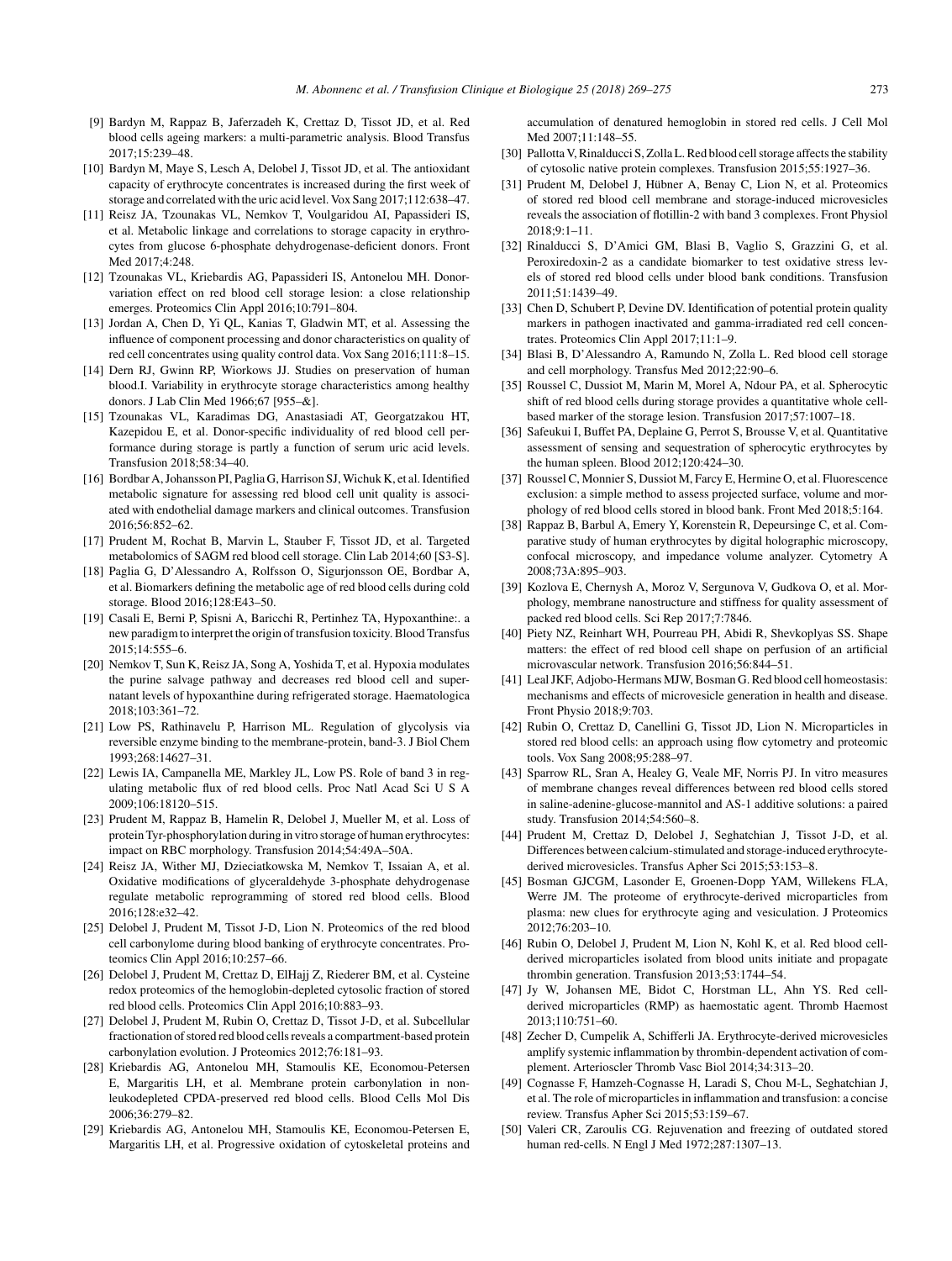- <span id="page-4-0"></span>[9] Bardyn M, Rappaz B, Jaferzadeh K, Crettaz D, Tissot JD, et al. Red blood cells ageing markers: a multi-parametric analysis. Blood Transfus 2017;15:239–48.
- [10] Bardyn M, Maye S, Lesch A, Delobel J, Tissot JD, et al. The antioxidant capacity of erythrocyte concentrates is increased during the first week of storage and correlated with the uric acid level. Vox Sang 2017;112:638–47.
- [11] Reisz JA, Tzounakas VL, Nemkov T, Voulgaridou AI, Papassideri IS, et al. Metabolic linkage and correlations to storage capacity in erythrocytes from glucose 6-phosphate dehydrogenase-deficient donors. Front Med 2017;4:248.
- [12] Tzounakas VL, Kriebardis AG, Papassideri IS, Antonelou MH. Donorvariation effect on red blood cell storage lesion: a close relationship emerges. Proteomics Clin Appl 2016;10:791–804.
- [13] Jordan A, Chen D, Yi QL, Kanias T, Gladwin MT, et al. Assessing the influence of component processing and donor characteristics on quality of red cell concentrates using quality control data. Vox Sang 2016;111:8–15.
- [14] Dern RJ, Gwinn RP, Wiorkows JJ. Studies on preservation of human blood.I. Variability in erythrocyte storage characteristics among healthy donors. J Lab Clin Med 1966;67 [955–&].
- [15] Tzounakas VL, Karadimas DG, Anastasiadi AT, Georgatzakou HT, Kazepidou E, et al. Donor-specific individuality of red blood cell performance during storage is partly a function of serum uric acid levels. Transfusion 2018;58:34–40.
- [16] Bordbar A, Johansson PI, Paglia G, Harrison SJ, Wichuk K, et al. Identified metabolic signature for assessing red blood cell unit quality is associated with endothelial damage markers and clinical outcomes. Transfusion 2016;56:852–62.
- [17] Prudent M, Rochat B, Marvin L, Stauber F, Tissot JD, et al. Targeted metabolomics of SAGM red blood cell storage. Clin Lab 2014;60 [S3-S].
- [18] Paglia G, D'Alessandro A, Rolfsson O, Sigurjonsson OE, Bordbar A, et al. Biomarkers defining the metabolic age of red blood cells during cold storage. Blood 2016;128:E43–50.
- [19] Casali E, Berni P, Spisni A, Baricchi R, Pertinhez TA, Hypoxanthine:. a new paradigm to interpret the origin of transfusion toxicity. Blood Transfus 2015;14:555–6.
- [20] Nemkov T, Sun K, Reisz JA, Song A, Yoshida T, et al. Hypoxia modulates the purine salvage pathway and decreases red blood cell and supernatant levels of hypoxanthine during refrigerated storage. Haematologica 2018;103:361–72.
- [21] Low PS, Rathinavelu P, Harrison ML. Regulation of glycolysis via reversible enzyme binding to the membrane-protein, band-3. J Biol Chem 1993;268:14627–31.
- [22] Lewis IA, Campanella ME, Markley JL, Low PS. Role of band 3 in regulating metabolic flux of red blood cells. Proc Natl Acad Sci U S A 2009;106:18120–515.
- [23] Prudent M, Rappaz B, Hamelin R, Delobel J, Mueller M, et al. Loss of protein Tyr-phosphorylation during in vitro storage of human erythrocytes: impact on RBC morphology. Transfusion 2014;54:49A–50A.
- [24] Reisz JA, Wither MJ, Dzieciatkowska M, Nemkov T, Issaian A, et al. Oxidative modifications of glyceraldehyde 3-phosphate dehydrogenase regulate metabolic reprogramming of stored red blood cells. Blood 2016;128:e32–42.
- [25] Delobel J, Prudent M, Tissot J-D, Lion N. Proteomics of the red blood cell carbonylome during blood banking of erythrocyte concentrates. Proteomics Clin Appl 2016;10:257–66.
- [26] Delobel J, Prudent M, Crettaz D, ElHajj Z, Riederer BM, et al. Cysteine redox proteomics of the hemoglobin-depleted cytosolic fraction of stored red blood cells. Proteomics Clin Appl 2016;10:883–93.
- [27] Delobel J, Prudent M, Rubin O, Crettaz D, Tissot J-D, et al. Subcellular fractionation of stored red blood cells reveals a compartment-based protein carbonylation evolution. J Proteomics 2012;76:181–93.
- [28] Kriebardis AG, Antonelou MH, Stamoulis KE, Economou-Petersen E, Margaritis LH, et al. Membrane protein carbonylation in nonleukodepleted CPDA-preserved red blood cells. Blood Cells Mol Dis 2006;36:279–82.
- [29] Kriebardis AG, Antonelou MH, Stamoulis KE, Economou-Petersen E, Margaritis LH, et al. Progressive oxidation of cytoskeletal proteins and

accumulation of denatured hemoglobin in stored red cells. J Cell Mol Med 2007;11:148–55.

- [30] Pallotta V, Rinalducci S, Zolla L. Red blood cell storage affects the stability of cytosolic native protein complexes. Transfusion 2015;55:1927–36.
- [31] Prudent M, Delobel J, Hübner A, Benay C, Lion N, et al. Proteomics of stored red blood cell membrane and storage-induced microvesicles reveals the association of flotillin-2 with band 3 complexes. Front Physiol  $2018:9:1-11$
- [32] Rinalducci S, D'Amici GM, Blasi B, Vaglio S, Grazzini G, et al. Peroxiredoxin-2 as a candidate biomarker to test oxidative stress levels of stored red blood cells under blood bank conditions. Transfusion 2011;51:1439–49.
- [33] Chen D, Schubert P, Devine DV. Identification of potential protein quality markers in pathogen inactivated and gamma-irradiated red cell concentrates. Proteomics Clin Appl 2017;11:1–9.
- [34] Blasi B, D'Alessandro A, Ramundo N, Zolla L. Red blood cell storage and cell morphology. Transfus Med 2012;22:90–6.
- [35] Roussel C, Dussiot M, Marin M, Morel A, Ndour PA, et al. Spherocytic shift of red blood cells during storage provides a quantitative whole cellbased marker of the storage lesion. Transfusion 2017;57:1007–18.
- [36] Safeukui I, Buffet PA, Deplaine G, Perrot S, Brousse V, et al. Quantitative assessment of sensing and sequestration of spherocytic erythrocytes by the human spleen. Blood 2012;120:424–30.
- [37] Roussel C, Monnier S, Dussiot M, Farcy E, Hermine O, et al. Fluorescence exclusion: a simple method to assess projected surface, volume and morphology of red blood cells stored in blood bank. Front Med 2018;5:164.
- [38] Rappaz B, Barbul A, Emery Y, Korenstein R, Depeursinge C, et al. Comparative study of human erythrocytes by digital holographic microscopy, confocal microscopy, and impedance volume analyzer. Cytometry A 2008;73A:895–903.
- [39] Kozlova E, Chernysh A, Moroz V, Sergunova V, Gudkova O, et al. Morphology, membrane nanostructure and stiffness for quality assessment of packed red blood cells. Sci Rep 2017;7:7846.
- [40] Piety NZ, Reinhart WH, Pourreau PH, Abidi R, Shevkoplyas SS. Shape matters: the effect of red blood cell shape on perfusion of an artificial microvascular network. Transfusion 2016;56:844–51.
- [41] Leal JKF, Adjobo-Hermans MJW, Bosman G. Red blood cell homeostasis: mechanisms and effects of microvesicle generation in health and disease. Front Physio 2018;9:703.
- [42] Rubin O, Crettaz D, Canellini G, Tissot JD, Lion N. Microparticles in stored red blood cells: an approach using flow cytometry and proteomic tools. Vox Sang 2008;95:288–97.
- [43] Sparrow RL, Sran A, Healey G, Veale MF, Norris PJ. In vitro measures of membrane changes reveal differences between red blood cells stored in saline-adenine-glucose-mannitol and AS-1 additive solutions: a paired study. Transfusion 2014;54:560–8.
- [44] Prudent M, Crettaz D, Delobel J, Seghatchian J, Tissot J-D, et al. Differences between calcium-stimulated and storage-induced erythrocytederived microvesicles. Transfus Apher Sci 2015;53:153–8.
- [45] Bosman GJCGM, Lasonder E, Groenen-Dopp YAM, Willekens FLA, Werre JM. The proteome of erythrocyte-derived microparticles from plasma: new clues for erythrocyte aging and vesiculation. J Proteomics 2012;76:203–10.
- [46] Rubin O, Delobel J, Prudent M, Lion N, Kohl K, et al. Red blood cellderived microparticles isolated from blood units initiate and propagate thrombin generation. Transfusion 2013;53:1744–54.
- [47] Jy W, Johansen ME, Bidot C, Horstman LL, Ahn YS. Red cellderived microparticles (RMP) as haemostatic agent. Thromb Haemost 2013;110:751–60.
- [48] Zecher D, Cumpelik A, Schifferli JA. Erythrocyte-derived microvesicles amplify systemic inflammation by thrombin-dependent activation of complement. Arterioscler Thromb Vasc Biol 2014;34:313–20.
- [49] Cognasse F, Hamzeh-Cognasse H, Laradi S, Chou M-L, Seghatchian J, et al. The role of microparticles in inflammation and transfusion: a concise review. Transfus Apher Sci 2015;53:159–67.
- [50] Valeri CR, Zaroulis CG. Rejuvenation and freezing of outdated stored human red-cells. N Engl J Med 1972;287:1307–13.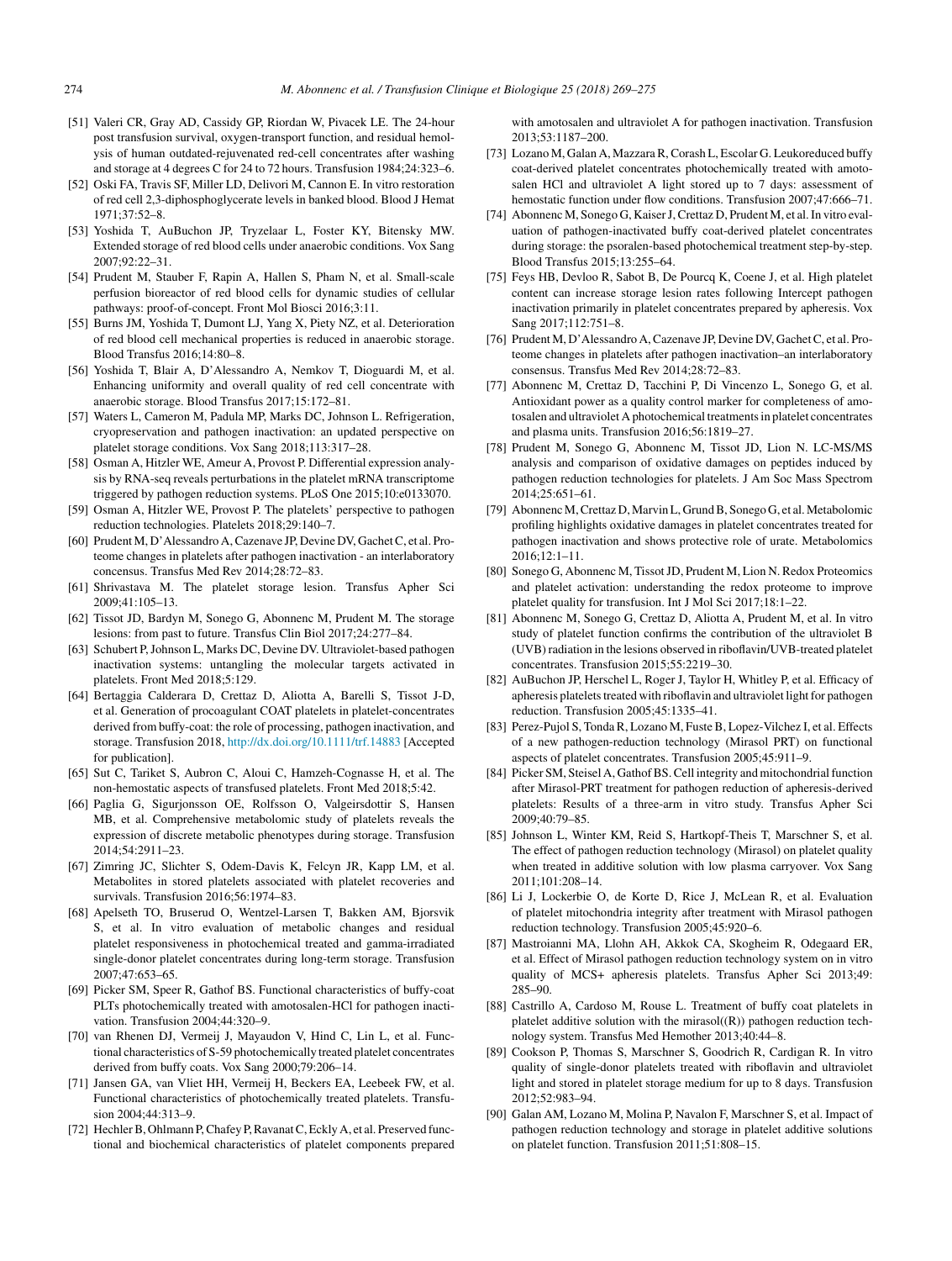- <span id="page-5-0"></span>[51] Valeri CR, Gray AD, Cassidy GP, Riordan W, Pivacek LE. The 24-hour post transfusion survival, oxygen-transport function, and residual hemolysis of human outdated-rejuvenated red-cell concentrates after washing and storage at 4 degrees C for 24 to 72 hours. Transfusion 1984;24:323–6.
- [52] Oski FA, Travis SF, Miller LD, Delivori M, Cannon E. In vitro restoration of red cell 2,3-diphosphoglycerate levels in banked blood. Blood J Hemat 1971;37:52–8.
- [53] Yoshida T, AuBuchon JP, Tryzelaar L, Foster KY, Bitensky MW. Extended storage of red blood cells under anaerobic conditions. Vox Sang 2007;92:22–31.
- [54] Prudent M, Stauber F, Rapin A, Hallen S, Pham N, et al. Small-scale perfusion bioreactor of red blood cells for dynamic studies of cellular pathways: proof-of-concept. Front Mol Biosci 2016;3:11.
- [55] Burns JM, Yoshida T, Dumont LJ, Yang X, Piety NZ, et al. Deterioration of red blood cell mechanical properties is reduced in anaerobic storage. Blood Transfus 2016;14:80–8.
- [56] Yoshida T, Blair A, D'Alessandro A, Nemkov T, Dioguardi M, et al. Enhancing uniformity and overall quality of red cell concentrate with anaerobic storage. Blood Transfus 2017;15:172–81.
- [57] Waters L, Cameron M, Padula MP, Marks DC, Johnson L. Refrigeration, cryopreservation and pathogen inactivation: an updated perspective on platelet storage conditions. Vox Sang 2018;113:317–28.
- [58] Osman A, Hitzler WE, Ameur A, Provost P. Differential expression analysis by RNA-seq reveals perturbations in the platelet mRNA transcriptome triggered by pathogen reduction systems. PLoS One 2015;10:e0133070.
- [59] Osman A, Hitzler WE, Provost P. The platelets' perspective to pathogen reduction technologies. Platelets 2018;29:140–7.
- [60] Prudent M, D'Alessandro A, Cazenave JP, Devine DV, Gachet C, et al. Proteome changes in platelets after pathogen inactivation - an interlaboratory concensus. Transfus Med Rev 2014;28:72–83.
- [61] Shrivastava M. The platelet storage lesion. Transfus Apher Sci 2009;41:105–13.
- [62] Tissot JD, Bardyn M, Sonego G, Abonnenc M, Prudent M. The storage lesions: from past to future. Transfus Clin Biol 2017;24:277–84.
- [63] Schubert P, Johnson L, Marks DC, Devine DV. Ultraviolet-based pathogen inactivation systems: untangling the molecular targets activated in platelets. Front Med 2018;5:129.
- [64] Bertaggia Calderara D, Crettaz D, Aliotta A, Barelli S, Tissot J-D, et al. Generation of procoagulant COAT platelets in platelet-concentrates derived from buffy-coat: the role of processing, pathogen inactivation, and storage. Transfusion 2018, [http://dx.doi.org/10.1111/trf.14883](dx.doi.org/10.1111/trf.14883) [Accepted for publication].
- [65] Sut C, Tariket S, Aubron C, Aloui C, Hamzeh-Cognasse H, et al. The non-hemostatic aspects of transfused platelets. Front Med 2018;5:42.
- [66] Paglia G, Sigurjonsson OE, Rolfsson O, Valgeirsdottir S, Hansen MB, et al. Comprehensive metabolomic study of platelets reveals the expression of discrete metabolic phenotypes during storage. Transfusion 2014;54:2911–23.
- [67] Zimring JC, Slichter S, Odem-Davis K, Felcyn JR, Kapp LM, et al. Metabolites in stored platelets associated with platelet recoveries and survivals. Transfusion 2016;56:1974–83.
- [68] Apelseth TO, Bruserud O, Wentzel-Larsen T, Bakken AM, Bjorsvik S, et al. In vitro evaluation of metabolic changes and residual platelet responsiveness in photochemical treated and gamma-irradiated single-donor platelet concentrates during long-term storage. Transfusion 2007;47:653–65.
- [69] Picker SM, Speer R, Gathof BS. Functional characteristics of buffy-coat PLTs photochemically treated with amotosalen-HCl for pathogen inactivation. Transfusion 2004;44:320–9.
- [70] van Rhenen DJ, Vermeij J, Mayaudon V, Hind C, Lin L, et al. Functional characteristics of S-59 photochemically treated platelet concentrates derived from buffy coats. Vox Sang 2000;79:206–14.
- [71] Jansen GA, van Vliet HH, Vermeij H, Beckers EA, Leebeek FW, et al. Functional characteristics of photochemically treated platelets. Transfusion 2004;44:313–9.
- [72] Hechler B, Ohlmann P, Chafey P, Ravanat C, Eckly A, et al. Preserved functional and biochemical characteristics of platelet components prepared

with amotosalen and ultraviolet A for pathogen inactivation. Transfusion 2013;53:1187–200.

- [73] Lozano M, Galan A, Mazzara R, Corash L, Escolar G. Leukoreduced buffy coat-derived platelet concentrates photochemically treated with amotosalen HCl and ultraviolet A light stored up to 7 days: assessment of hemostatic function under flow conditions. Transfusion 2007;47:666–71.
- [74] Abonnenc M, Sonego G, Kaiser J, Crettaz D, Prudent M, et al. In vitro evaluation of pathogen-inactivated buffy coat-derived platelet concentrates during storage: the psoralen-based photochemical treatment step-by-step. Blood Transfus 2015;13:255–64.
- [75] Feys HB, Devloo R, Sabot B, De Pourcq K, Coene J, et al. High platelet content can increase storage lesion rates following Intercept pathogen inactivation primarily in platelet concentrates prepared by apheresis. Vox Sang 2017;112:751–8.
- [76] Prudent M, D'Alessandro A, Cazenave JP, Devine DV, Gachet C, et al. Proteome changes in platelets after pathogen inactivation–an interlaboratory consensus. Transfus Med Rev 2014;28:72–83.
- [77] Abonnenc M, Crettaz D, Tacchini P, Di Vincenzo L, Sonego G, et al. Antioxidant power as a quality control marker for completeness of amotosalen and ultraviolet A photochemical treatments in platelet concentrates and plasma units. Transfusion 2016;56:1819–27.
- [78] Prudent M, Sonego G, Abonnenc M, Tissot JD, Lion N. LC-MS/MS analysis and comparison of oxidative damages on peptides induced by pathogen reduction technologies for platelets. J Am Soc Mass Spectrom 2014;25:651–61.
- [79] Abonnenc M, Crettaz D, Marvin L, Grund B, Sonego G, et al. Metabolomic profiling highlights oxidative damages in platelet concentrates treated for pathogen inactivation and shows protective role of urate. Metabolomics 2016;12:1–11.
- [80] Sonego G, Abonnenc M, Tissot JD, Prudent M, Lion N. Redox Proteomics and platelet activation: understanding the redox proteome to improve platelet quality for transfusion. Int J Mol Sci 2017;18:1–22.
- [81] Abonnenc M, Sonego G, Crettaz D, Aliotta A, Prudent M, et al. In vitro study of platelet function confirms the contribution of the ultraviolet B (UVB) radiation in the lesions observed in riboflavin/UVB-treated platelet concentrates. Transfusion 2015;55:2219–30.
- [82] AuBuchon JP, Herschel L, Roger J, Taylor H, Whitley P, et al. Efficacy of apheresis platelets treated with riboflavin and ultraviolet light for pathogen reduction. Transfusion 2005;45:1335–41.
- [83] Perez-Pujol S, Tonda R, Lozano M, Fuste B, Lopez-Vilchez I, et al. Effects of a new pathogen-reduction technology (Mirasol PRT) on functional aspects of platelet concentrates. Transfusion 2005;45:911–9.
- [84] Picker SM, Steisel A, Gathof BS. Cell integrity and mitochondrial function after Mirasol-PRT treatment for pathogen reduction of apheresis-derived platelets: Results of a three-arm in vitro study. Transfus Apher Sci 2009;40:79–85.
- [85] Johnson L, Winter KM, Reid S, Hartkopf-Theis T, Marschner S, et al. The effect of pathogen reduction technology (Mirasol) on platelet quality when treated in additive solution with low plasma carryover. Vox Sang 2011;101:208–14.
- [86] Li J, Lockerbie O, de Korte D, Rice J, McLean R, et al. Evaluation of platelet mitochondria integrity after treatment with Mirasol pathogen reduction technology. Transfusion 2005;45:920–6.
- [87] Mastroianni MA, Llohn AH, Akkok CA, Skogheim R, Odegaard ER, et al. Effect of Mirasol pathogen reduction technology system on in vitro quality of MCS+ apheresis platelets. Transfus Apher Sci 2013;49: 285–90.
- [88] Castrillo A, Cardoso M, Rouse L. Treatment of buffy coat platelets in platelet additive solution with the mirasol $((R))$  pathogen reduction technology system. Transfus Med Hemother 2013;40:44–8.
- [89] Cookson P, Thomas S, Marschner S, Goodrich R, Cardigan R. In vitro quality of single-donor platelets treated with riboflavin and ultraviolet light and stored in platelet storage medium for up to 8 days. Transfusion 2012;52:983–94.
- [90] Galan AM, Lozano M, Molina P, Navalon F, Marschner S, et al. Impact of pathogen reduction technology and storage in platelet additive solutions on platelet function. Transfusion 2011;51:808–15.